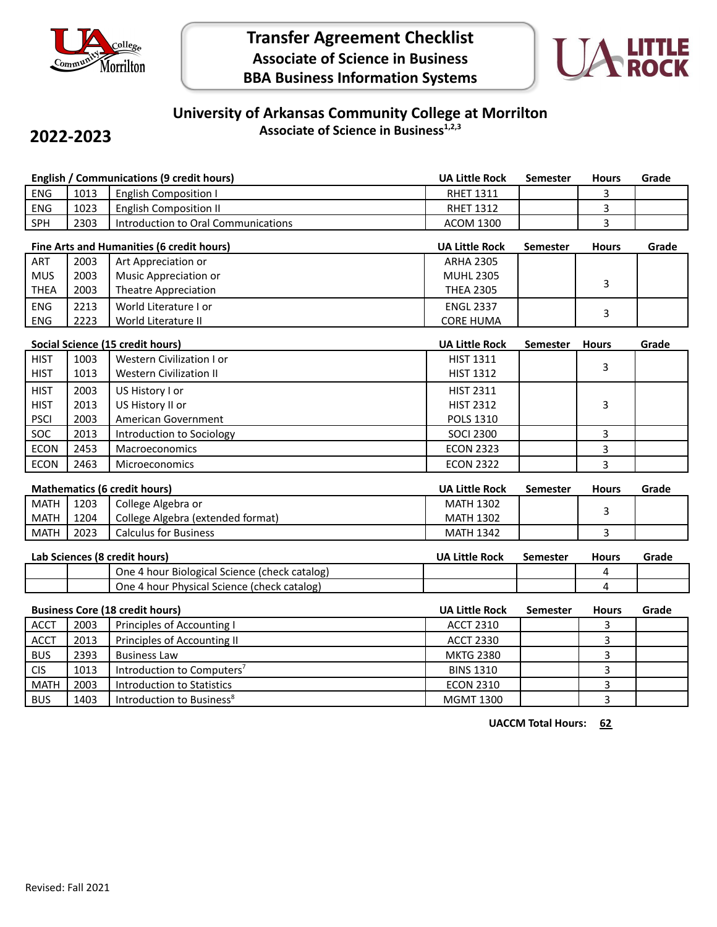

# **Transfer Agreement Checklist Associate of Science in Business BBA Business Information Systems**



### **University of Arkansas Community College at Morrilton Associate of Science in Business1,2,3**

## **2022-2023**

|                                  |             | English / Communications (9 credit hours) | <b>UA Little Rock</b> | <b>Semester</b> | <b>Hours</b> | Grade |
|----------------------------------|-------------|-------------------------------------------|-----------------------|-----------------|--------------|-------|
| <b>ENG</b>                       | 1013        | <b>English Composition I</b>              | <b>RHET 1311</b>      |                 | 3            |       |
| <b>ENG</b>                       | 1023        | <b>English Composition II</b>             | <b>RHET 1312</b>      |                 | 3            |       |
| SPH                              | 2303        | Introduction to Oral Communications       | <b>ACOM 1300</b>      |                 | 3            |       |
|                                  |             | Fine Arts and Humanities (6 credit hours) | <b>UA Little Rock</b> | <b>Semester</b> | <b>Hours</b> | Grade |
|                                  |             |                                           |                       |                 |              |       |
| <b>ART</b>                       | 2003        | Art Appreciation or                       | <b>ARHA 2305</b>      |                 |              |       |
| <b>MUS</b>                       | 2003        | Music Appreciation or                     | <b>MUHL 2305</b>      |                 |              |       |
| <b>THEA</b>                      | 2003        | Theatre Appreciation                      | <b>THEA 2305</b>      |                 | 3            |       |
| <b>ENG</b>                       | 2213        | World Literature I or                     | <b>ENGL 2337</b>      |                 |              |       |
| <b>ENG</b>                       | 2223        | World Literature II                       | <b>CORE HUMA</b>      |                 | 3            |       |
|                                  |             |                                           |                       |                 |              |       |
| Social Science (15 credit hours) |             |                                           | <b>UA Little Rock</b> | <b>Semester</b> | <b>Hours</b> | Grade |
| шст                              | <b>מחחו</b> | $\blacksquare$ Mostorn Civilization Lor   | $LICT$ 1011           |                 |              |       |

| <b>HIST</b><br><b>HIST</b> | 1003<br>1013 | Western Civilization I or<br><b>Western Civilization II</b> | <b>HIST 1311</b><br><b>HIST 1312</b> |  |  |
|----------------------------|--------------|-------------------------------------------------------------|--------------------------------------|--|--|
| <b>HIST</b>                | 2003         | US History I or                                             | <b>HIST 2311</b>                     |  |  |
| <b>HIST</b>                | 2013         | US History II or                                            | <b>HIST 2312</b>                     |  |  |
| <b>PSCI</b>                | 2003         | American Government                                         | POLS 1310                            |  |  |
| SOC.                       | 2013         | Introduction to Sociology                                   | <b>SOCI 2300</b>                     |  |  |
| <b>ECON</b>                | 2453         | Macroeconomics                                              | <b>ECON 2323</b>                     |  |  |
| <b>ECON</b>                | 2463         | Microeconomics                                              | <b>ECON 2322</b>                     |  |  |
|                            |              |                                                             |                                      |  |  |

|             | <b>Mathematics (6 credit hours)</b> |                                   |                  | Semester | <b>Hours</b> | Grade |
|-------------|-------------------------------------|-----------------------------------|------------------|----------|--------------|-------|
| MATH        | 1203                                | College Algebra or                | <b>MATH 1302</b> |          |              |       |
| MATH        | 1204                                | College Algebra (extended format) | <b>MATH 1302</b> |          |              |       |
| <b>MATH</b> | 2023                                | <b>Calculus for Business</b>      | <b>MATH 1342</b> |          |              |       |

| Lab Sciences (8 credit hours) |  |                                               | <b>UA Little Rock</b> | Semester | <b>Hours</b> | Grade |
|-------------------------------|--|-----------------------------------------------|-----------------------|----------|--------------|-------|
|                               |  | One 4 hour Biological Science (check catalog) |                       |          |              |       |
|                               |  | One 4 hour Physical Science (check catalog)   |                       |          |              |       |

|             |      | <b>Business Core (18 credit hours)</b> | <b>UA Little Rock</b> | <b>Semester</b> | <b>Hours</b> | Grade |
|-------------|------|----------------------------------------|-----------------------|-----------------|--------------|-------|
| <b>ACCT</b> | 2003 | Principles of Accounting I             | <b>ACCT 2310</b>      |                 |              |       |
| <b>ACCT</b> | 2013 | Principles of Accounting II            | <b>ACCT 2330</b>      |                 |              |       |
| <b>BUS</b>  | 2393 | <b>Business Law</b>                    | <b>MKTG 2380</b>      |                 |              |       |
| <b>CIS</b>  | 1013 | Introduction to Computers <sup>7</sup> | <b>BINS 1310</b>      |                 |              |       |
| <b>MATH</b> | 2003 | Introduction to Statistics             | <b>ECON 2310</b>      |                 |              |       |
| <b>BUS</b>  | 1403 | Introduction to Business <sup>8</sup>  | <b>MGMT 1300</b>      |                 |              |       |

**UACCM Total Hours: 62**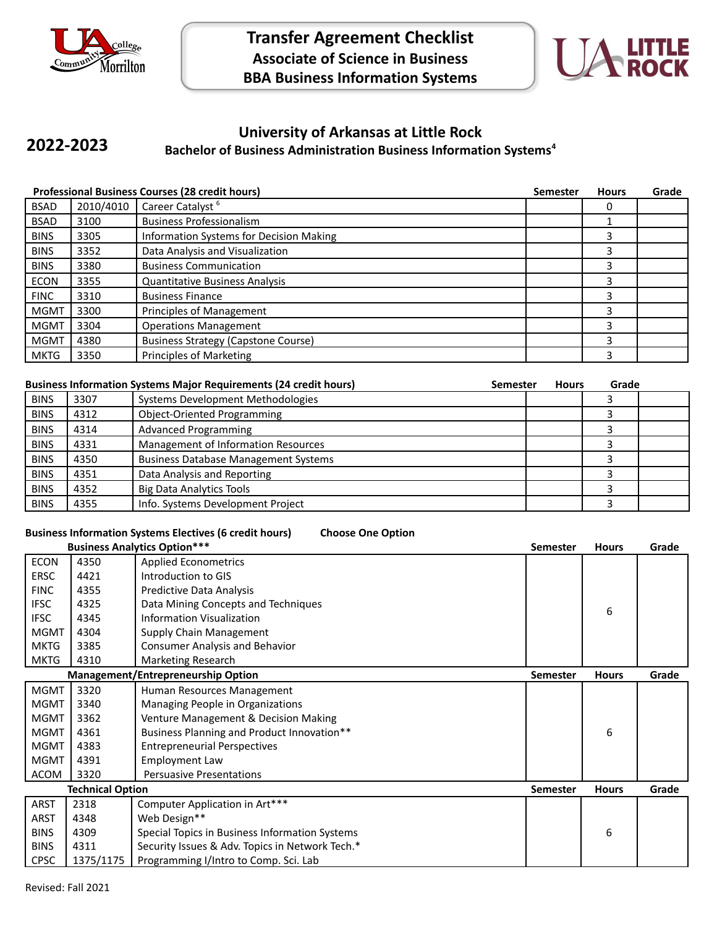



#### **University of Arkansas at Little Rock Bachelor of Business Administration Business Information Systems<sup>4</sup> 2022-2023**

|             |           | <b>Professional Business Courses (28 credit hours)</b> | <b>Semester</b> | <b>Hours</b> | Grade |
|-------------|-----------|--------------------------------------------------------|-----------------|--------------|-------|
| <b>BSAD</b> | 2010/4010 | Career Catalyst <sup>6</sup>                           |                 | 0            |       |
| <b>BSAD</b> | 3100      | <b>Business Professionalism</b>                        |                 |              |       |
| <b>BINS</b> | 3305      | Information Systems for Decision Making                |                 | 3            |       |
| <b>BINS</b> | 3352      | Data Analysis and Visualization                        |                 | 3            |       |
| <b>BINS</b> | 3380      | <b>Business Communication</b>                          |                 | 3            |       |
| <b>ECON</b> | 3355      | <b>Quantitative Business Analysis</b>                  |                 | 3            |       |
| <b>FINC</b> | 3310      | <b>Business Finance</b>                                |                 | 3            |       |
| <b>MGMT</b> | 3300      | Principles of Management                               |                 | 3            |       |
| <b>MGMT</b> | 3304      | <b>Operations Management</b>                           |                 | 3            |       |
| <b>MGMT</b> | 4380      | <b>Business Strategy (Capstone Course)</b>             |                 | 3            |       |
| <b>MKTG</b> | 3350      | Principles of Marketing                                |                 | 3            |       |

|             |      | <b>Business Information Systems Major Requirements (24 credit hours)</b> | <b>Semester</b> | <b>Hours</b> | Grade |  |
|-------------|------|--------------------------------------------------------------------------|-----------------|--------------|-------|--|
| <b>BINS</b> | 3307 | Systems Development Methodologies                                        |                 |              |       |  |
| <b>BINS</b> | 4312 | <b>Object-Oriented Programming</b>                                       |                 |              |       |  |
| <b>BINS</b> | 4314 | <b>Advanced Programming</b>                                              |                 |              |       |  |
| <b>BINS</b> | 4331 | Management of Information Resources                                      |                 |              |       |  |
| <b>BINS</b> | 4350 | <b>Business Database Management Systems</b>                              |                 |              |       |  |
| <b>BINS</b> | 4351 | Data Analysis and Reporting                                              |                 |              |       |  |
| <b>BINS</b> | 4352 | <b>Big Data Analytics Tools</b>                                          |                 |              |       |  |
| <b>BINS</b> | 4355 | Info. Systems Development Project                                        |                 |              |       |  |

### **Business Information Systems Electives (6 credit hours) Choose One Option**

|             |                         | <b>Business Analytics Option***</b>             | <b>Semester</b> | <b>Hours</b> | Grade |
|-------------|-------------------------|-------------------------------------------------|-----------------|--------------|-------|
| <b>ECON</b> | 4350                    | <b>Applied Econometrics</b>                     |                 |              |       |
| <b>ERSC</b> | 4421                    | Introduction to GIS                             |                 |              |       |
| <b>FINC</b> | 4355                    | Predictive Data Analysis                        |                 |              |       |
| <b>IFSC</b> | 4325                    | Data Mining Concepts and Techniques             |                 | 6            |       |
| <b>IFSC</b> | 4345                    | <b>Information Visualization</b>                |                 |              |       |
| <b>MGMT</b> | 4304                    | Supply Chain Management                         |                 |              |       |
| <b>MKTG</b> | 3385                    | <b>Consumer Analysis and Behavior</b>           |                 |              |       |
| <b>MKTG</b> | 4310                    | Marketing Research                              |                 |              |       |
|             |                         | <b>Management/Entrepreneurship Option</b>       | <b>Semester</b> | <b>Hours</b> | Grade |
| <b>MGMT</b> | 3320                    | Human Resources Management                      |                 |              |       |
| <b>MGMT</b> | 3340                    | Managing People in Organizations                |                 |              |       |
| <b>MGMT</b> | 3362                    | Venture Management & Decision Making            |                 |              |       |
| <b>MGMT</b> | 4361                    | Business Planning and Product Innovation**      |                 | 6            |       |
| <b>MGMT</b> | 4383                    | <b>Entrepreneurial Perspectives</b>             |                 |              |       |
| <b>MGMT</b> | 4391                    | <b>Employment Law</b>                           |                 |              |       |
| ACOM        | 3320                    | <b>Persuasive Presentations</b>                 |                 |              |       |
|             | <b>Technical Option</b> |                                                 | <b>Semester</b> | <b>Hours</b> | Grade |
| <b>ARST</b> | 2318                    | Computer Application in Art***                  |                 |              |       |
| <b>ARST</b> | 4348                    | Web Design**                                    |                 |              |       |
| <b>BINS</b> | 4309                    | Special Topics in Business Information Systems  |                 | 6            |       |
| <b>BINS</b> | 4311                    | Security Issues & Adv. Topics in Network Tech.* |                 |              |       |
| <b>CPSC</b> | 1375/1175               | Programming I/Intro to Comp. Sci. Lab           |                 |              |       |